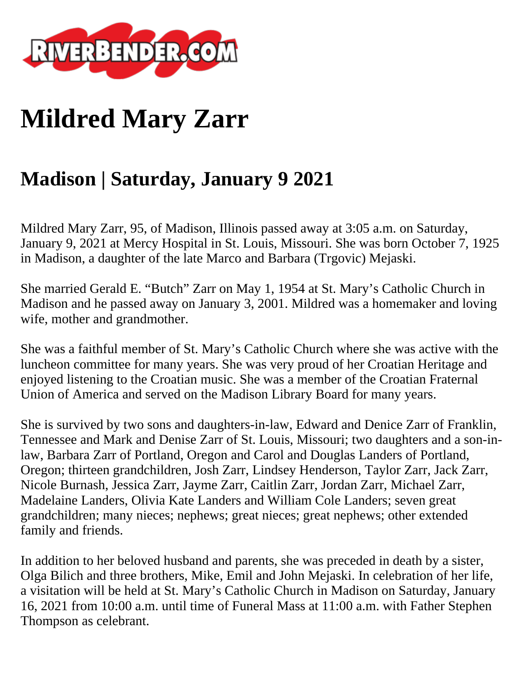

## **Mildred Mary Zarr**

## **Madison | Saturday, January 9 2021**

Mildred Mary Zarr, 95, of Madison, Illinois passed away at 3:05 a.m. on Saturday, January 9, 2021 at Mercy Hospital in St. Louis, Missouri. She was born October 7, 1925 in Madison, a daughter of the late Marco and Barbara (Trgovic) Mejaski.

She married Gerald E. "Butch" Zarr on May 1, 1954 at St. Mary's Catholic Church in Madison and he passed away on January 3, 2001. Mildred was a homemaker and loving wife, mother and grandmother.

She was a faithful member of St. Mary's Catholic Church where she was active with the luncheon committee for many years. She was very proud of her Croatian Heritage and enjoyed listening to the Croatian music. She was a member of the Croatian Fraternal Union of America and served on the Madison Library Board for many years.

She is survived by two sons and daughters-in-law, Edward and Denice Zarr of Franklin, Tennessee and Mark and Denise Zarr of St. Louis, Missouri; two daughters and a son-inlaw, Barbara Zarr of Portland, Oregon and Carol and Douglas Landers of Portland, Oregon; thirteen grandchildren, Josh Zarr, Lindsey Henderson, Taylor Zarr, Jack Zarr, Nicole Burnash, Jessica Zarr, Jayme Zarr, Caitlin Zarr, Jordan Zarr, Michael Zarr, Madelaine Landers, Olivia Kate Landers and William Cole Landers; seven great grandchildren; many nieces; nephews; great nieces; great nephews; other extended family and friends.

In addition to her beloved husband and parents, she was preceded in death by a sister, Olga Bilich and three brothers, Mike, Emil and John Mejaski. In celebration of her life, a visitation will be held at St. Mary's Catholic Church in Madison on Saturday, January 16, 2021 from 10:00 a.m. until time of Funeral Mass at 11:00 a.m. with Father Stephen Thompson as celebrant.